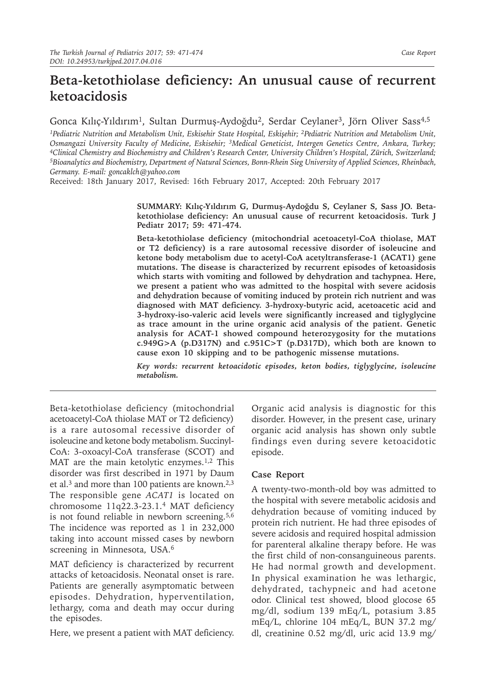# **Beta-ketothiolase deficiency: An unusual cause of recurrent ketoacidosis**

# Gonca Kılıç-Yıldırım<sup>1</sup>, Sultan Durmuş-Aydoğdu<sup>2</sup>, Serdar Ceylaner<sup>3</sup>, Jörn Oliver Sass<sup>4,5</sup>

<sup>1</sup>Pediatric Nutrition and Metabolism Unit, Eskisehir State Hospital, Eskisehir; <sup>2</sup>Pediatric Nutrition and Metabolism Unit, Osmangazi University Faculty of Medicine, Eskisehir; <sup>3</sup>Medical Geneticist, Intergen Genetics Centre, Ankara, Turkey;<br><sup>4</sup>Clinical Chemistry and Biochemistry and Children's Research Center, University Children's Hospital, Z <sup>5</sup>Bioanalytics and Biochemistry, Department of Natural Sciences, Bonn-Rhein Sieg University of Applied Sciences, Rheinbach, *Germany. E-mail: goncaklch@yahoo.com*

Received: 18th January 2017, Revised: 16th February 2017, Accepted: 20th February 2017

**SUMMARY: Kılıç-Yıldırım G, Durmuş-Aydoğdu S, Ceylaner S, Sass JO. Betaketothiolase deficiency: An unusual cause of recurrent ketoacidosis. Turk J Pediatr 2017; 59: 471-474.**

**Beta-ketothiolase deficiency (mitochondrial acetoacetyl-CoA thiolase, MAT or T2 deficiency) is a rare autosomal recessive disorder of isoleucine and ketone body metabolism due to acetyl-CoA acetyltransferase-1 (ACAT1) gene mutations. The disease is characterized by recurrent episodes of ketoasidosis which starts with vomiting and followed by dehydration and tachypnea. Here, we present a patient who was admitted to the hospital with severe acidosis and dehydration because of vomiting induced by protein rich nutrient and was diagnosed with MAT deficiency. 3-hydroxy-butyric acid, acetoacetic acid and 3-hydroxy-iso-valeric acid levels were significantly increased and tiglyglycine as trace amount in the urine organic acid analysis of the patient. Genetic analysis for ACAT-1 showed compound heterozygosity for the mutations c.949G>A (p.D317N) and c.951C>T (p.D317D), which both are known to cause exon 10 skipping and to be pathogenic missense mutations.** 

*Key words: recurrent ketoacidotic episodes, keton bodies, tiglyglycine, isoleucine metabolism.*

Beta-ketothiolase deficiency (mitochondrial acetoacetyl-CoA thiolase MAT or T2 deficiency) is a rare autosomal recessive disorder of isoleucine and ketone body metabolism. Succinyl-CoA: 3-oxoacyl-CoA transferase (SCOT) and MAT are the main ketolytic enzymes.<sup>1,2</sup> This disorder was first described in 1971 by Daum et al.<sup>3</sup> and more than 100 patients are known.<sup>2,3</sup> The responsible gene *ACAT1* is located on chromosome 11q22.3-23.1.<sup>4</sup> MAT deficiency is not found reliable in newborn screening. $5,6$ The incidence was reported as 1 in 232,000 taking into account missed cases by newborn screening in Minnesota, USA.<sup>6</sup>

MAT deficiency is characterized by recurrent attacks of ketoacidosis. Neonatal onset is rare. Patients are generally asymptomatic between episodes. Dehydration, hyperventilation, lethargy, coma and death may occur during the episodes.

Here, we present a patient with MAT deficiency.

Organic acid analysis is diagnostic for this disorder. However, in the present case, urinary organic acid analysis has shown only subtle findings even during severe ketoacidotic episode.

### **Case Report**

A twenty-two-month-old boy was admitted to the hospital with severe metabolic acidosis and dehydration because of vomiting induced by protein rich nutrient. He had three episodes of severe acidosis and required hospital admission for parenteral alkaline therapy before. He was the first child of non-consanguineous parents. He had normal growth and development. In physical examination he was lethargic, dehydrated, tachypneic and had acetone odor. Clinical test showed, blood glocose 65 mg/dl, sodium 139 mEq/L, potasium 3.85 mEq/L, chlorine 104 mEq/L, BUN 37.2 mg/ dl, creatinine 0.52 mg/dl, uric acid 13.9 mg/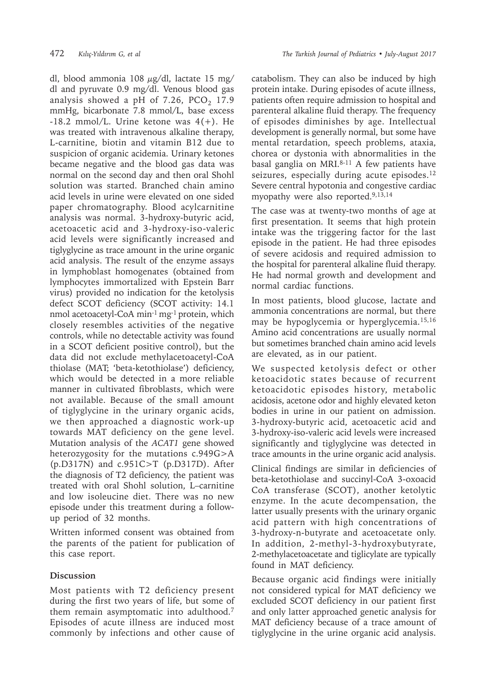dl, blood ammonia 108  $\mu$ g/dl, lactate 15 mg/ dl and pyruvate 0.9 mg/dl. Venous blood gas analysis showed a pH of  $7.26$ ,  $PCO<sub>2</sub>$  17.9 mmHg, bicarbonate 7.8 mmol/L, base excess  $-18.2$  mmol/L. Urine ketone was  $4(+)$ . He was treated with intravenous alkaline therapy, L-carnitine, biotin and vitamin B12 due to suspicion of organic acidemia. Urinary ketones became negative and the blood gas data was normal on the second day and then oral Shohl solution was started. Branched chain amino acid levels in urine were elevated on one sided paper chromatography. Blood acylcarnitine analysis was normal. 3-hydroxy-butyric acid, acetoacetic acid and 3-hydroxy-iso-valeric acid levels were significantly increased and tiglyglycine as trace amount in the urine organic acid analysis. The result of the enzyme assays in lymphoblast homogenates (obtained from lymphocytes immortalized with Epstein Barr virus) provided no indication for the ketolysis defect SCOT deficiency (SCOT activity: 14.1 nmol acetoacetyl-CoA min-1 mg-1 protein, which closely resembles activities of the negative controls, while no detectable activity was found in a SCOT deficient positive control), but the data did not exclude methylacetoacetyl-CoA thiolase (MAT; 'beta-ketothiolase') deficiency, which would be detected in a more reliable manner in cultivated fibroblasts, which were not available. Because of the small amount of tiglyglycine in the urinary organic acids, we then approached a diagnostic work-up towards MAT deficiency on the gene level. Mutation analysis of the *ACAT1* gene showed heterozygosity for the mutations c.949G>A (p.D317N) and c.951C>T (p.D317D). After the diagnosis of T2 deficiency, the patient was treated with oral Shohl solution, L–carnitine and low isoleucine diet. There was no new episode under this treatment during a followup period of 32 months.

Written informed consent was obtained from the parents of the patient for publication of this case report.

# **Discussion**

Most patients with T2 deficiency present during the first two years of life, but some of them remain asymptomatic into adulthood.7 Episodes of acute illness are induced most commonly by infections and other cause of catabolism. They can also be induced by high protein intake. During episodes of acute illness, patients often require admission to hospital and parenteral alkaline fluid therapy. The frequency of episodes diminishes by age. Intellectual development is generally normal, but some have mental retardation, speech problems, ataxia, chorea or dystonia with abnormalities in the basal ganglia on MRI. $8-11$  A few patients have seizures, especially during acute episodes.<sup>12</sup> Severe central hypotonia and congestive cardiac myopathy were also reported.9,13,14

The case was at twenty-two months of age at first presentation. It seems that high protein intake was the triggering factor for the last episode in the patient. He had three episodes of severe acidosis and required admission to the hospital for parenteral alkaline fluid therapy. He had normal growth and development and normal cardiac functions.

In most patients, blood glucose, lactate and ammonia concentrations are normal, but there may be hypoglycemia or hyperglycemia.15,16 Amino acid concentrations are usually normal but sometimes branched chain amino acid levels are elevated, as in our patient.

We suspected ketolysis defect or other ketoacidotic states because of recurrent ketoacidotic episodes history, metabolic acidosis, acetone odor and highly elevated keton bodies in urine in our patient on admission. 3-hydroxy-butyric acid, acetoacetic acid and 3-hydroxy-iso-valeric acid levels were increased significantly and tiglyglycine was detected in trace amounts in the urine organic acid analysis.

Clinical findings are similar in deficiencies of beta-ketothiolase and succinyl-CoA 3-oxoacid CoA transferase (SCOT), another ketolytic enzyme. In the acute decompensation, the latter usually presents with the urinary organic acid pattern with high concentrations of 3-hydroxy-n-butyrate and acetoacetate only. In addition, 2-methyl-3-hydroxybutyrate, 2-methylacetoacetate and tiglicylate are typically found in MAT deficiency.

Because organic acid findings were initially not considered typical for MAT deficiency we excluded SCOT deficiency in our patient first and only latter approached genetic analysis for MAT deficiency because of a trace amount of tiglyglycine in the urine organic acid analysis.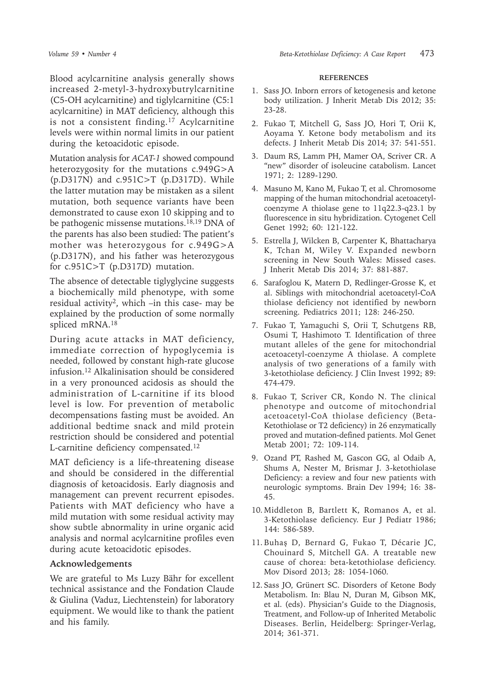Blood acylcarnitine analysis generally shows increased 2-metyl-3-hydroxybutrylcarnitine (C5-OH acylcarnitine) and tiglylcarnitine (C5:1 acylcarnitine) in MAT deficiency, although this is not a consistent finding.<sup>17</sup> Acylcarnitine levels were within normal limits in our patient during the ketoacidotic episode.

Mutation analysis for *ACAT-1* showed compound heterozygosity for the mutations c.949G>A (p.D317N) and c.951C>T (p.D317D). While the latter mutation may be mistaken as a silent mutation, both sequence variants have been demonstrated to cause exon 10 skipping and to be pathogenic missense mutations.<sup>18,19</sup> DNA of the parents has also been studied: The patient's mother was heterozygous for c.949G>A (p.D317N), and his father was heterozygous for c.951C>T (p.D317D) mutation.

The absence of detectable tiglyglycine suggests a biochemically mild phenotype, with some residual activity2, which –in this case- may be explained by the production of some normally spliced mRNA.18

During acute attacks in MAT deficiency, immediate correction of hypoglycemia is needed, followed by constant high-rate glucose infusion.12 Alkalinisation should be considered in a very pronounced acidosis as should the administration of L-carnitine if its blood level is low. For prevention of metabolic decompensations fasting must be avoided. An additional bedtime snack and mild protein restriction should be considered and potential L-carnitine deficiency compensated.12

MAT deficiency is a life-threatening disease and should be considered in the differential diagnosis of ketoacidosis. Early diagnosis and management can prevent recurrent episodes. Patients with MAT deficiency who have a mild mutation with some residual activity may show subtle abnormality in urine organic acid analysis and normal acylcarnitine profiles even during acute ketoacidotic episodes.

### **Acknowledgements**

We are grateful to Ms Luzy Bähr for excellent technical assistance and the Fondation Claude & Giulina (Vaduz, Liechtenstein) for laboratory equipment. We would like to thank the patient and his family.

#### **REFERENCES**

- 1. Sass JO. Inborn errors of ketogenesis and ketone body utilization. J Inherit Metab Dis 2012; 35: 23-28.
- 2. Fukao T, Mitchell G, Sass JO, Hori T, Orii K, Aoyama Y. Ketone body metabolism and its defects. J Inherit Metab Dis 2014; 37: 541-551.
- 3. Daum RS, Lamm PH, Mamer OA, Scriver CR. A "new" disorder of isoleucine catabolism. Lancet 1971; 2: 1289-1290.
- 4. Masuno M, Kano M, Fukao T, et al. Chromosome mapping of the human mitochondrial acetoacetylcoenzyme A thiolase gene to 11q22.3-q23.1 by fluorescence in situ hybridization. Cytogenet Cell Genet 1992; 60: 121-122.
- 5. Estrella J, Wilcken B, Carpenter K, Bhattacharya K, Tchan M, Wiley V. Expanded newborn screening in New South Wales: Missed cases. J Inherit Metab Dis 2014; 37: 881-887.
- 6. Sarafoglou K, Matern D, Redlinger-Grosse K, et al. Siblings with mitochondrial acetoacetyl-CoA thiolase deficiency not identified by newborn screening. Pediatrics 2011; 128: 246-250.
- 7. Fukao T, Yamaguchi S, Orii T, Schutgens RB, Osumi T, Hashimoto T. Identification of three mutant alleles of the gene for mitochondrial acetoacetyl-coenzyme A thiolase. A complete analysis of two generations of a family with 3-ketothiolase deficiency. J Clin Invest 1992; 89: 474-479.
- 8. Fukao T, Scriver CR, Kondo N. The clinical phenotype and outcome of mitochondrial acetoacetyl-CoA thiolase deficiency (Beta-Ketothiolase or T2 deficiency) in 26 enzymatically proved and mutation-defined patients. Mol Genet Metab 2001; 72: 109-114.
- 9. Ozand PT, Rashed M, Gascon GG, al Odaib A, Shums A, Nester M, Brismar J. 3-ketothiolase Deficiency: a review and four new patients with neurologic symptoms. Brain Dev 1994; 16: 38- 45.
- 10. Middleton B, Bartlett K, Romanos A, et al. 3-Ketothiolase deficiency. Eur J Pediatr 1986; 144: 586-589.
- 11. Buhaş D, Bernard G, Fukao T, Décarie JC, Chouinard S, Mitchell GA. A treatable new cause of chorea: beta-ketothiolase deficiency. Mov Disord 2013; 28: 1054-1060.
- 12. Sass JO, Grünert SC. Disorders of Ketone Body Metabolism. In: Blau N, Duran M, Gibson MK, et al. (eds). Physician's Guide to the Diagnosis, Treatment, and Follow-up of Inherited Metabolic Diseases. Berlin, Heidelberg: Springer-Verlag, 2014; 361-371.